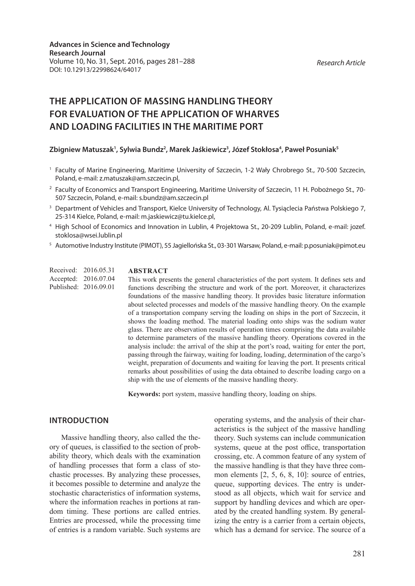#### *Research Article*

# **THE APPLICATION OF MASSING HANDLING THEORY FOR EVALUATION OF THE APPLICATION OF WHARVES AND LOADING FACILITIES IN THE MARITIME PORT**

# Zbigniew Matuszak<sup>1</sup>, Sylwia Bundz<sup>2</sup>, Marek Jaśkiewicz<sup>3</sup>, Józef Stokłosa<sup>4</sup>, Paweł Posuniak<sup>5</sup>

- <sup>1</sup> Faculty of Marine Engineering, Maritime University of Szczecin, 1-2 Wały Chrobrego St., 70-500 Szczecin, Poland, e-mail: z.matuszak@am.szczecin.pl,
- <sup>2</sup> Faculty of Economics and Transport Engineering, Maritime University of Szczecin, 11 H. Pobożnego St., 70-507 Szczecin, Poland, e-mail: s.bundz@am.szczecin.pl
- <sup>3</sup> Department of Vehicles and Transport, Kielce University of Technology, Al. Tysiąclecia Państwa Polskiego 7, 25-314 Kielce, Poland, e-mail: m.jaskiewicz@tu.kielce.pl,
- <sup>4</sup> High School of Economics and Innovation in Lublin, 4 Projektowa St., 20-209 Lublin, Poland, e-mail: jozef. stoklosa@wsei.lublin.pl
- <sup>5</sup> Automotive Industry Institute (PIMOT), 55 Jagiellońska St., 03-301 Warsaw, Poland, e-mail: p.posuniak@pimot.eu

Received: 2016.05.31 Accepted: 2016.07.04 Published: 2016.09.01

#### **ABSTRACT**

This work presents the general characteristics of the port system. It defines sets and functions describing the structure and work of the port. Moreover, it characterizes foundations of the massive handling theory. It provides basic literature information about selected processes and models of the massive handling theory. On the example of a transportation company serving the loading on ships in the port of Szczecin, it shows the loading method. The material loading onto ships was the sodium water glass. There are observation results of operation times comprising the data available to determine parameters of the massive handling theory. Operations covered in the analysis include: the arrival of the ship at the port's road, waiting for enter the port, passing through the fairway, waiting for loading, loading, determination of the cargo's weight, preparation of documents and waiting for leaving the port. It presents critical remarks about possibilities of using the data obtained to describe loading cargo on a ship with the use of elements of the massive handling theory.

**Keywords:** port system, massive handling theory, loading on ships.

## **INTRODUCTION**

Massive handling theory, also called the theory of queues, is classified to the section of probability theory, which deals with the examination of handling processes that form a class of stochastic processes. By analyzing these processes, it becomes possible to determine and analyze the stochastic characteristics of information systems, where the information reaches in portions at random timing. These portions are called entries. Entries are processed, while the processing time of entries is a random variable. Such systems are

operating systems, and the analysis of their characteristics is the subject of the massive handling theory. Such systems can include communication systems, queue at the post office, transportation crossing, etc. A common feature of any system of the massive handling is that they have three common elements [2, 5, 6, 8, 10]: source of entries, queue, supporting devices. The entry is understood as all objects, which wait for service and support by handling devices and which are operated by the created handling system. By generalizing the entry is a carrier from a certain objects, which has a demand for service. The source of a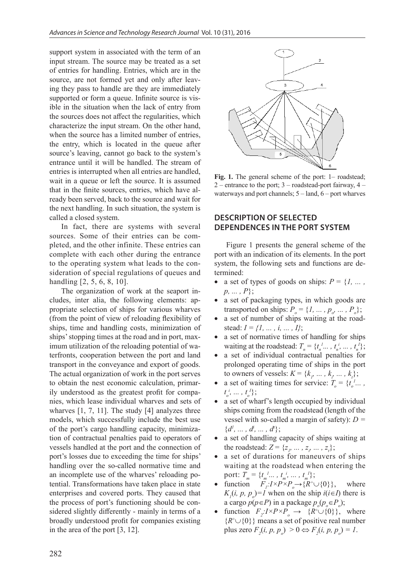support system in associated with the term of an input stream. The source may be treated as a set of entries for handling. Entries, which are in the source, are not formed yet and only after leaving they pass to handle are they are immediately supported or form a queue. Infinite source is visible in the situation when the lack of entry from the sources does not affect the regularities, which characterize the input stream. On the other hand, when the source has a limited number of entries, the entry, which is located in the queue after source's leaving, cannot go back to the system's entrance until it will be handled. The stream of entries is interrupted when all entries are handled, wait in a queue or left the source. It is assumed that in the finite sources, entries, which have already been served, back to the source and wait for the next handling. In such situation, the system is called a closed system.

In fact, there are systems with several sources. Some of their entries can be completed, and the other infinite. These entries can complete with each other during the entrance to the operating system what leads to the consideration of special regulations of queues and handling [2, 5, 6, 8, 10].

The organization of work at the seaport includes, inter alia, the following elements: appropriate selection of ships for various wharves (from the point of view of reloading flexibility of ships, time and handling costs, minimization of ships' stopping times at the road and in port, maximum utilization of the reloading potential of waterfronts, cooperation between the port and land transport in the conveyance and export of goods. The actual organization of work in the port serves to obtain the nest economic calculation, primarily understood as the greatest profit for companies, which lease individual wharves and sets of wharves [1, 7, 11]. The study [4] analyzes three models, which successfully include the best use of the port's cargo handling capacity, minimization of contractual penalties paid to operators of vessels handled at the port and the connection of port's losses due to exceeding the time for ships' handling over the so-called normative time and an incomplete use of the wharves' reloading potential. Transformations have taken place in state enterprises and covered ports. They caused that the process of port's functioning should be considered slightly differently - mainly in terms of a broadly understood profit for companies existing in the area of the port [3, 12].



Fig. 1. The general scheme of the port: 1– roadstead; 2 – entrance to the port;  $3$  – roadstead-port fairway,  $4$  – waterways and port channels; 5 – land, 6 – port wharves

# **DESCRIPTION OF SELECTED DEPENDENCES IN THE PORT SYSTEM**

Figure 1 presents the general scheme of the port with an indication of its elements. In the port system, the following sets and functions are determined:

- a set of types of goods on ships:  $P = \{1, \ldots, n\}$ *p, ... , P*};
- a set of packaging types, in which goods are transported on ships:  $P_o = \{1, ..., p_o, ..., P_o\};$
- a set of number of ships waiting at the roadstead: *I = {1, ... , i, ... , I}*;
- a set of normative times of handling for ships waiting at the roadstead:  $T_n = \{t_n^1, \ldots, t_n^i, \ldots, t_n^i\};$
- a set of individual contractual penalties for prolonged operating time of ships in the port to owners of vessels:  $K = \{k_{p}, ..., k_{p}, ..., k_{t}\};$
- a set of waiting times for service:  $T_o = \{t_o^1, \ldots, t_o^m\}$  $t_{o}^{i}, \ldots, t_{o}^{I}$ ;
- a set of wharf's length occupied by individual ships coming from the roadstead (length of the vessel with so-called a margin of safety): *D =*   $\{d^l, \ldots, d^l, \ldots, d^l\};$
- a set of handling capacity of ships waiting at the roadstead:  $Z = \{z_p, ..., z_p, ..., z_t\};$
- a set of durations for maneuvers of ships waiting at the roadstead when entering the port:  $T_m = \{t_m^l \dots, t_m^i, \dots, t_m^l\};$
- function  $F_i: I \times P \times P_o \to \{R^+ \cup \{0\}\}\,$ , where  $K_i(i, p, p_o) = I$  when on the ship  $i(i \in I)$  there is a cargo  $p(p \in P)$  in a package  $p_o(p_o \in P_o)$ ;
- function  $F_2: I \times P \times P_o \to \{R^+ \cup \{0\}\}\,$ , where  ${R^+ \cup \{0\}}$  means a set of positive real number plus zero  $F_2(i, p, p_o) > 0 \Leftrightarrow F_2(i, p, p_o) = 1$ .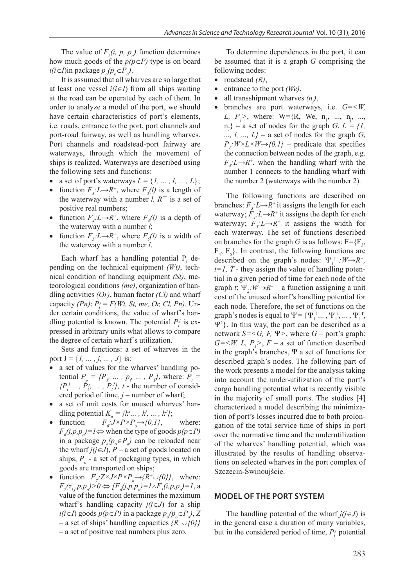The value of  $F_2(i, p, p)$  function determines how much goods of the  $p(p \in P)$  type is on board  $i(i ∈ I)$ in package  $p_o(p_o ∈ P_o)$ .

It is assumed that all wharves are so large that at least one vessel  $i(i \in I)$  from all ships waiting at the road can be operated by each of them. In order to analyze a model of the port, we should have certain characteristics of port's elements, i.e. roads, entrance to the port, port channels and port-road fairway, as well as handling wharves. Port channels and roadstead-port fairway are waterways, through which the movement of ships is realized. Waterways are described using the following sets and functions:

- a set of port's waterways  $L = \{l, ..., l, ..., L\};$
- function  $F_3: L \rightarrow R^+$ , where  $F_3(l)$  is a length of the waterway with a number *l*,  $R^+$  is a set of positive real numbers;
- function  $F_{4}:L \rightarrow R^{+}$ , where  $F_{4}(l)$  is a depth of the waterway with a number *l*;
- function  $F_s: L \to R^+$ , where  $F_s(l)$  is a width of the waterway with a number *l*.

Each wharf has a handling potential  $P_t$  depending on the technical equipment *(Wt)*, technical condition of handling equipment *(St)*, meteorological conditions *(me)*, organization of handling activities *(Or)*, human factor *(Cl)* and wharf capacity  $(Pn)$ :  $P_i^j = F(Wt, St, me, Or, Cl, Pn)$ . Under certain conditions, the value of wharf's handling potential is known. The potential  $P_i^j$  is expressed in arbitrary units what allows to compare the degree of certain wharf's utilization.

Sets and functions: a set of wharves in the port  $J = \{1, ..., j, ..., J\}$  is:

- a set of values for the wharves' handling potential  $P_p = \{P_p \dots P_p, \dots P_p\}$ , where:  $P_t =$  $\{P_t^1, \ldots, P_t^j, \ldots, P_t^j\}$ , t - the number of considered period of time, *j* – number of wharf;
- a set of unit costs for unused wharves' handling potential  $K_n = \{k^1, \ldots, k^j, \ldots, k^j\};$
- function  $\therefore J \times P \times P_o \longrightarrow \{0, 1\},$  where:  $F<sub>6</sub>(j, p, p<sub>o</sub>) = 1 \Leftrightarrow$  when the type of goods  $p(p \in P)$ in a package  $p_o(p_o \in P_o)$  can be reloaded near the wharf  $j(j\in J)$ ,  $P$  – a set of goods located on ships,  $P_o$  - a set of packaging types, in which goods are transported on ships;
- function  $F_{\gamma}$ : $Z \times J \times P \times P_{\rho} \rightarrow \{R^+ \cup \{0\}\}\,$ , where: *F*<sub>7</sub>( $z_{i,j}$ *p*,*p*<sub> $o$ </sub>)>0 ⇔ [*F<sub>6</sub>*(*j*,*p*,*p*<sub> $o$ </sub>)=1∧*F<sub>1</sub>*(*i*,*p*,*p*<sub> $o$ </sub>)=1, a value of the function determines the maximum wharf's handling capacity *j(j*∈*J*) for a ship *i*(*i*∈*I*) goods  $p(p ∈ P)$  in a package  $p_o(p_o ∈ P_o)$ , *Z* – a set of ships' handling capacities *{R+*∪*{0}}* – a set of positive real numbers plus zero.

To determine dependences in the port, it can be assumed that it is a graph *G* comprising the following nodes:

- roadstead *(R)*,
- entrance to the port *(We)*,
- all transshipment wharves  $(n)$ ,
- branches are port waterways, i.e. *G=<W, L*,  $P_1$  >, where: W={R, We, n<sub>1</sub>, ..., n<sub>j</sub>, ...,  $\{n_{j}\}$  – a set of nodes for the graph *G*,  $L = \{1, 1\}$ ...,  $l$ , ...,  $L$ } – a set of nodes for the graph  $G$ ,  $P_i: W \times L \times W \rightarrow \{0,1\}$  – predicate that specifies the connection between nodes of the graph, e.g.  $F_{4}: L \rightarrow R^{+}$ , when the handling wharf with the number 1 connects to the handling wharf with the number 2 (waterways with the number 2).

The following functions are described on branches:  $F_{3}: L \rightarrow R^{+}$  it assigns the length for each waterway;  $F_{\mu}$ : $L \rightarrow R^{+}$  it assigns the depth for each waterway;  $F_s: L \rightarrow R^+$  it assigns the width for each waterway. The set of functions described on branches for the graph *G* is as follows: F={F3 ,  $F_4$ ,  $F_5$ }. In contrast, the following functions are described on the graph's nodes:  $\Psi_i^t : W \rightarrow R^+$ ,  $t=\overline{I}$ ,  $\overline{T}$  - they assign the value of handling potential in a given period of time for each node of the graph *t*;  $\Psi_2$ :  $W \rightarrow R^+ - a$  function assigning a unit cost of the unused wharf's handling potential for each node. Therefore, the set of functions on the graph's nodes is equal to  $\Psi = {\{\Psi_1^1,\dots,\Psi_1^{\tau},\dots,\Psi_1^{\tau}\}}$ , Ψ<sup>2</sup> }. In this way, the port can be described as a network  $S = \langle G, F, \Psi \rangle$ , where  $G$  – port's graph:  $G = \langle W, L, P \rangle$ ,  $F - a$  set of function described in the graph's branches,  $\Psi$  a set of functions for described graph's nodes. The following part of the work presents a model for the analysis taking into account the under-utilization of the port's cargo handling potential what is recently visible in the majority of small ports. The studies [4] characterized a model describing the minimization of port's losses incurred due to both prolongation of the total service time of ships in port over the normative time and the underutilization of the wharves' handling potential, which was illustrated by the results of handling observations on selected wharves in the port complex of Szczecin-Świnoujście.

### **MODEL OF THE PORT SYSTEM**

The handling potential of the wharf  $j(j \in J)$  is in the general case a duration of many variables, but in the considered period of time,  $P_t$  potential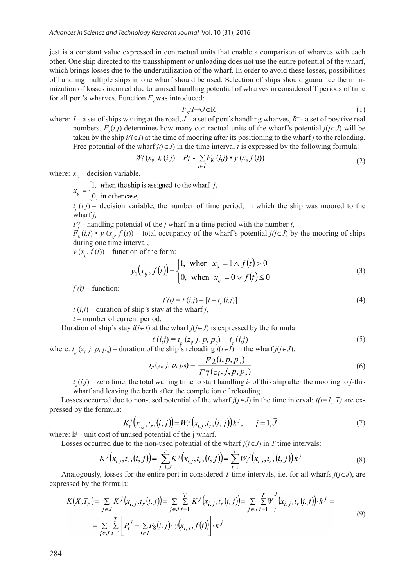jest is a constant value expressed in contractual units that enable a comparison of wharves with each other. One ship directed to the transshipment or unloading does not use the entire potential of the wharf, which brings losses due to the underutilization of the wharf. In order to avoid these losses, possibilities of handling multiple ships in one wharf should be used. Selection of ships should guarantee the minimization of losses incurred due to unused handling potential of wharves in considered T periods of time for all port's wharves. Function  $F_{8}$  was introduced:

$$
F_s: I \to J \in \mathbb{R}^+ \tag{1}
$$

where:  $I$  – a set of ships waiting at the road,  $J$  – a set of port's handling wharves,  $R^+$  - a set of positive real numbers.  $F_s(i,j)$  determines how many contractual units of the wharf's potential  $j(j \in J)$  will be taken by the ship  $i(i \in I)$  at the time of mooring after its positioning to the wharf *j* to the reloading. Free potential of the wharf  $j(j\in J)$  in the time interval *t* is expressed by the following formula:

$$
W_i^j(x_{ij}, t_r(i,j)) = P_i^j - \sum_{i \in I} F_8(i,j) \cdot y(x_{ij}f(t))
$$
\n
$$
(2)
$$

where:  $x_{ij}$  – decision variable,<br> $x_{ij} =\begin{cases} 1, & \text{when the ship is assigned to the what f } j, \\ 0, & \text{in other case,} \end{cases}$ 

 $t_r(i,j)$  – decision variable, the number of time period, in which the ship was moored to the wharf *j,*

 $P_t^j$ – handling potential of the *j* wharf in a time period with the number *t*,

 $F_s(i,j) \cdot y(x_i, f(t))$  – total occupancy of the wharf's potential *j(j*∈*J*) by the mooring of ships during one time interval,

 $y(x_i, f(t))$  – function of the form:

$$
y_1(x_{ij}, f(t)) = \begin{cases} 1, & \text{when } x_{ij} = 1 \land f(t) > 0 \\ 0, & \text{when } x_{ij} = 0 \lor f(t) \le 0 \end{cases}
$$
 (3)

 $f(t)$  – function:

$$
f(t) = t(i,j) - [t - t_r(i,j)]
$$
\n(4)

 $t(i,j)$  – duration of ship's stay at the wharf *j*,

*t* – number of current period.

Duration of ship's stay  $i(i \in I)$  at the wharf  $j(j \in J)$  is expressed by the formula:

$$
t(i,j) = t_p(z_j, j, p, p_0) + t_z(i,j)
$$
\n(5)

*t (i,j)* =  $t_p$  (*z<sub>i</sub>*, *j*, *p*,  $p_0$ ) +  $t_z$  (*i,j*)<br>where:  $t_p$  (*z<sub>i</sub>*, *j*, *p*,  $p_0$ ) – duration of the ship's reloading *i*(*i*∈*I*) in the wharf *j*(*j*∈*J*):

$$
F_p(z_i, j, p, p_0) = \frac{F_2(i, p, p_o)}{F_7(z_i, j, p, p_o)}
$$
(6)

*t <sup>z</sup>* (*i,j*) – zero time; the total waiting time to start handling *i-* of this ship after the mooring to *j*-this wharf and leaving the berth after the completion of reloading.

Losses occurred due to non-used potential of the wharf  $j(i \in J)$  in the time interval:  $t(i=1, T)$  are expressed by the formula:

$$
K_t^j\big(x_{i,j}, t_r, (i,j)\big) = W_t^j\big(x_{i,j}, t_r, (i,j)\big)k^j, \qquad j = 1, \overline{J}
$$
\n
$$
(7)
$$

where:  $k^{j}$  – unit cost of unused potential of the j wharf.

Losses occurred due to the non-used potential of the wharf  $j(j \in J)$  in *T* time intervals:

$$
K^{j}\big(x_{i,j},t_{r},(i,j)\big) = \sum_{j=1,\bar{J}}^{J} K^{j}\big(x_{i,j},t_{r},(i,j)\big) = \sum_{t=1}^{J} W_{t}^{j}\big(x_{i,j},t_{r},(i,j)\big)k^{J}
$$
(8)

Analogously, losses for the entire port in considered *T* time intervals, i.e. for all wharfs  $j(i \in J)$ , are expressed by the formula:

$$
K(X,T_r) = \sum_{j \in J} K^j (x_{i,j}, t_r(i,j)) = \sum_{j \in J} \sum_{t=1}^T K^j (x_{i,j}, t_r(i,j)) = \sum_{j \in J} \sum_{t=1}^T W^j (x_{i,j}, t_r(i,j)) \cdot k^j =
$$
  
= 
$$
\sum_{j \in J} \sum_{t=1}^T \left[ P_t^j - \sum_{i \in I} F_8(i,j) \cdot y(x_{i,j}, f(t)) \right] \cdot k^j
$$
 (9)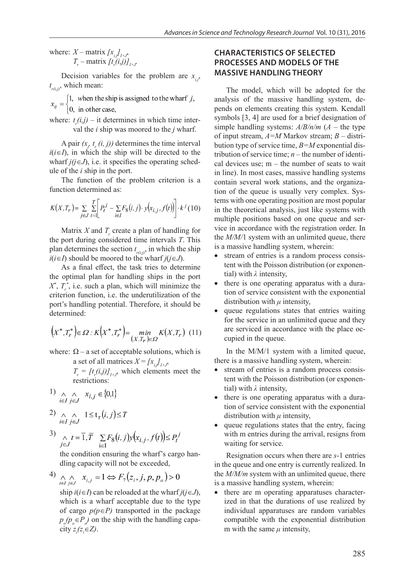where:  $X$  – matrix  $[x_{i,j}]_{I\times J}$ ,  $T_r$  – matrix  $[t_r(i,j)]_{I\times J}$ 

Decision variables for the problem are  $x_i$ ,  $t_{r(i,j)}$ , which mean:

 $x_{ij} =\begin{cases} 1, & \text{when the ship is assigned to the wharf } j, \\ 0, & \text{in other case,} \end{cases}$ 

where:  $t_r(i,j)$  – it determines in which time interval the *i* ship was moored to the *j* wharf.

A pair  $(x_j, t_r(i, j))$  determines the time interval  $i(i \in I)$ , in which the ship will be directed to the wharf  $j(j\in J)$ , i.e. it specifies the operating schedule of the *i* ship in the port.

The function of the problem criterion is a function determined as:

$$
K(X, T_r) = \sum_{j \in J} \sum_{t=1}^{T} \left[ P_t^j - \sum_{i \in I} F_8(i, j) \cdot y(x_{i, j}, f(t)) \right] \cdot k^j (10)
$$

Matrix  $X$  and  $T_r$  create a plan of handling for the port during considered time intervals *T*. This plan determines the section  $t_{r(i,j)}$ , in which the ship *i*(*i*∈*I*) should be moored to the wharf *j*(*j*∈*J*).

As a final effect, the task tries to determine the optimal plan for handling ships in the port  $X^*$ ,  $T_r^*$ , i.e. such a plan, which will minimize the criterion function, i.e. the underutilization of the port's handling potential. Therefore, it should be determined:

$$
\left(X^*, T_r^*\right) \in \varOmega : K\left(X^*, T_r^*\right) = \min_{\left(X, T_r\right) \in \varOmega} K\left(X, T_r\right) \tag{11}
$$

where:  $\Omega$  – a set of acceptable solutions, which is a set of all matrices  $X = [x_{i,j}]_{I \times J}$ ,

 $T_r = [t_r(i,j)]_{I \times J}$ , which elements meet the restrictions:

$$
1) \underset{i \in I}{\wedge} j \underset{j \in J}{\wedge} x_{i,j} \in \big\{0{,}1\big\}
$$

$$
2) \underset{i \in I}{\wedge} \underset{j \in J}{\wedge} 1 \le t_{r}(i, j) \le T
$$

3) 
$$
\underset{j \in J}{\wedge} t = \overline{1}, \overline{T} \sum_{i \in I} F_8(i, j) y(x_{i, j}, f(t)) \le P_t^j
$$

the condition ensuring the wharf's cargo handling capacity will not be exceeded,

$$
4) \underset{i \in I}{\wedge} \underset{j \in J}{\wedge} x_{i,j} = 1 \Leftrightarrow F_7(z_i, j, p, p_0) > 0
$$

ship *i*(*i*∈*I*) can be reloaded at the wharf *j*(*j*∈*J*), which is a wharf acceptable due to the type of cargo *p(p*∈*P)* transported in the package  $p_o(p_o \in P_o)$  on the ship with the handling capacity  $z_i(z_i \in Z)$ .

# **CHARACTERISTICS OF SELECTED PROCESSES AND MODELS OF THE MASSIVE HANDLING THEORY**

The model, which will be adopted for the analysis of the massive handling system, depends on elements creating this system. Kendall symbols [3, 4] are used for a brief designation of simple handling systems: *A/B/n/m* (*A* – the type of input stream, *A=M* Markov stream; *B* – distribution type of service time, *B=M* exponential distribution of service time;  $n -$  the number of identical devices use;  $m -$  the number of seats to wait in line). In most cases, massive handling systems contain several work stations, and the organization of the queue is usually very complex. Systems with one operating position are most popular in the theoretical analysis, just like systems with multiple positions based on one queue and service in accordance with the registration order. In the *M/M/*1 system with an unlimited queue, there is a massive handling system, wherein:

- stream of entries is a random process consistent with the Poisson distribution (or exponential) with *λ* intensity,
- there is one operating apparatus with a duration of service consistent with the exponential distribution with *μ* intensity,
- queue regulations states that entries waiting for the service in an unlimited queue and they are serviced in accordance with the place occupied in the queue.

In the M/M/1 system with a limited queue, there is a massive handling system, wherein:

- stream of entries is a random process consistent with the Poisson distribution (or exponential) with *λ* intensity,
- there is one operating apparatus with a duration of service consistent with the exponential distribution with *μ* intensity,
- queue regulations states that the entry, facing with m entries during the arrival, resigns from waiting for service.

Resignation occurs when there are *s*-1 entries in the queue and one entry is currently realized. In the *M/M/m* system with an unlimited queue, there is a massive handling system, wherein:

there are m operating apparatuses characterized in that the durations of use realized by individual apparatuses are random variables compatible with the exponential distribution m with the same  $\mu$  intensity,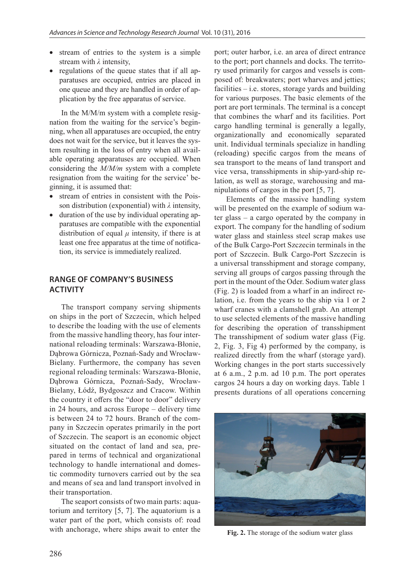- stream of entries to the system is a simple stream with *λ* intensity,
- regulations of the queue states that if all apparatuses are occupied, entries are placed in one queue and they are handled in order of application by the free apparatus of service.

In the M/M/m system with a complete resignation from the waiting for the service's beginning, when all apparatuses are occupied, the entry does not wait for the service, but it leaves the system resulting in the loss of entry when all available operating apparatuses are occupied. When considering the *M/M/m* system with a complete resignation from the waiting for the service' beginning, it is assumed that:

- stream of entries in consistent with the Poisson distribution (exponential) with *λ* intensity,
- duration of the use by individual operating apparatuses are compatible with the exponential distribution of equal  $\mu$  intensity, if there is at least one free apparatus at the time of notification, its service is immediately realized.

# **RANGE OF COMPANY'S BUSINESS ACTIVITY**

The transport company serving shipments on ships in the port of Szczecin, which helped to describe the loading with the use of elements from the massive handling theory, has four international reloading terminals: Warszawa-Błonie, Dąbrowa Górnicza, Poznań-Sady and Wrocław-Bielany. Furthermore, the company has seven regional reloading terminals: Warszawa-Błonie, Dąbrowa Górnicza, Poznań-Sady, Wrocław-Bielany, Łódź, Bydgoszcz and Cracow. Within the country it offers the "door to door" delivery in 24 hours, and across Europe – delivery time is between 24 to 72 hours. Branch of the company in Szczecin operates primarily in the port of Szczecin. The seaport is an economic object situated on the contact of land and sea, prepared in terms of technical and organizational technology to handle international and domestic commodity turnovers carried out by the sea and means of sea and land transport involved in their transportation.

The seaport consists of two main parts: aquatorium and territory [5, 7]. The aquatorium is a water part of the port, which consists of: road with anchorage, where ships await to enter the

port; outer harbor, i.e. an area of direct entrance to the port; port channels and docks. The territory used primarily for cargos and vessels is composed of: breakwaters; port wharves and jetties; facilities  $-$  i.e. stores, storage yards and building for various purposes. The basic elements of the port are port terminals. The terminal is a concept that combines the wharf and its facilities. Port cargo handling terminal is generally a legally, organizationally and economically separated unit. Individual terminals specialize in handling (reloading) specific cargos from the means of sea transport to the means of land transport and vice versa, transshipments in ship-yard-ship relation, as well as storage, warehousing and manipulations of cargos in the port [5, 7].

Elements of the massive handling system will be presented on the example of sodium water glass – a cargo operated by the company in export. The company for the handling of sodium water glass and stainless steel scrap makes use of the Bulk Cargo-Port Szczecin terminals in the port of Szczecin. Bulk Cargo-Port Szczecin is a universal transshipment and storage company, serving all groups of cargos passing through the port in the mount of the Oder. Sodium water glass (Fig. 2) is loaded from a wharf in an indirect relation, i.e. from the years to the ship via 1 or 2 wharf cranes with a clamshell grab. An attempt to use selected elements of the massive handling for describing the operation of transshipment The transshipment of sodium water glass (Fig. 2, Fig. 3, Fig 4) performed by the company, is realized directly from the wharf (storage yard). Working changes in the port starts successively at 6 a.m., 2 p.m. ad 10 p.m. The port operates cargos 24 hours a day on working days. Table 1 presents durations of all operations concerning



**Fig. 2.** The storage of the sodium water glass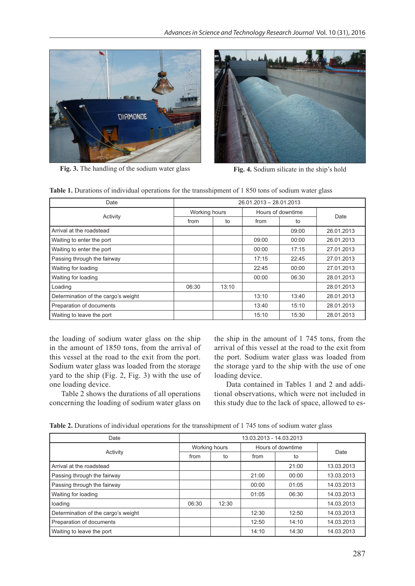

**Fig. 3.** The handling of the sodium water glass **Fig. 4.** Sodium silicate in the ship's hold



|  |  |  | Table 1. Durations of individual operations for the transshipment of 1850 tons of sodium water glass |
|--|--|--|------------------------------------------------------------------------------------------------------|
|--|--|--|------------------------------------------------------------------------------------------------------|

| Date                                | 26.01.2013 - 28.01.2013 |       |                   |       |            |
|-------------------------------------|-------------------------|-------|-------------------|-------|------------|
| Activity                            | Working hours           |       | Hours of downtime |       | Date       |
|                                     | from                    | to    | from              | to    |            |
| Arrival at the roadstead            |                         |       |                   | 09:00 | 26.01.2013 |
| Waiting to enter the port           |                         |       | 09:00             | 00:00 | 26.01.2013 |
| Waiting to enter the port           |                         |       | 00:00             | 17:15 | 27.01.2013 |
| Passing through the fairway         |                         |       | 17:15             | 22:45 | 27.01.2013 |
| Waiting for loading                 |                         |       | 22:45             | 00:00 | 27.01.2013 |
| Waiting for loading                 |                         |       | 00:00             | 06:30 | 28.01.2013 |
| Loading                             | 06:30                   | 13:10 |                   |       | 28.01.2013 |
| Determination of the cargo's weight |                         |       | 13:10             | 13:40 | 28.01.2013 |
| Preparation of documents            |                         |       | 13:40             | 15:10 | 28.01.2013 |
| Waiting to leave the port           |                         |       | 15:10             | 15:30 | 28.01.2013 |

the loading of sodium water glass on the ship in the amount of 1850 tons, from the arrival of this vessel at the road to the exit from the port. Sodium water glass was loaded from the storage yard to the ship (Fig. 2, Fig. 3) with the use of one loading device.

Table 2 shows the durations of all operations concerning the loading of sodium water glass on

the ship in the amount of 1 745 tons, from the arrival of this vessel at the road to the exit from the port. Sodium water glass was loaded from the storage yard to the ship with the use of one loading device.

Data contained in Tables 1 and 2 and additional observations, which were not included in this study due to the lack of space, allowed to es-

**Table 2.** Durations of individual operations for the transshipment of 1 745 tons of sodium water glass

| Date                                | 13.03.2013 - 14.03.2013 |       |                   |       |            |  |
|-------------------------------------|-------------------------|-------|-------------------|-------|------------|--|
|                                     | Working hours           |       | Hours of downtime |       |            |  |
| Activity                            | from                    | to    | from              | to    | Date       |  |
| Arrival at the roadstead            |                         |       |                   | 21:00 | 13.03.2013 |  |
| Passing through the fairway         |                         |       | 21:00             | 00:00 | 13.03.2013 |  |
| Passing through the fairway         |                         |       | 00:00             | 01:05 | 14.03.2013 |  |
| <b>Waiting for loading</b>          |                         |       | 01:05             | 06:30 | 14.03.2013 |  |
| loading                             | 06:30                   | 12:30 |                   |       | 14.03.2013 |  |
| Determination of the cargo's weight |                         |       | 12:30             | 12:50 | 14.03.2013 |  |
| Preparation of documents            |                         |       | 12:50             | 14:10 | 14.03.2013 |  |
| Waiting to leave the port           |                         |       | 14:10             | 14:30 | 14.03.2013 |  |